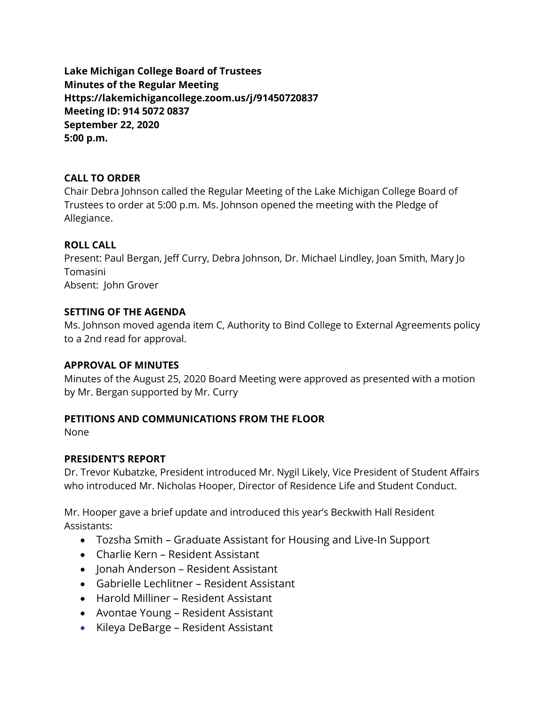**Lake Michigan College Board of Trustees Minutes of the Regular Meeting Https://lakemichigancollege.zoom.us/j/91450720837 Meeting ID: 914 5072 0837 September 22, 2020 5:00 p.m.**

### **CALL TO ORDER**

Chair Debra Johnson called the Regular Meeting of the Lake Michigan College Board of Trustees to order at 5:00 p.m. Ms. Johnson opened the meeting with the Pledge of Allegiance.

## **ROLL CALL**

Present: Paul Bergan, Jeff Curry, Debra Johnson, Dr. Michael Lindley, Joan Smith, Mary Jo Tomasini Absent: John Grover

## **SETTING OF THE AGENDA**

Ms. Johnson moved agenda item C, Authority to Bind College to External Agreements policy to a 2nd read for approval.

### **APPROVAL OF MINUTES**

Minutes of the August 25, 2020 Board Meeting were approved as presented with a motion by Mr. Bergan supported by Mr. Curry

# **PETITIONS AND COMMUNICATIONS FROM THE FLOOR**

None

# **PRESIDENT'S REPORT**

Dr. Trevor Kubatzke, President introduced Mr. Nygil Likely, Vice President of Student Affairs who introduced Mr. Nicholas Hooper, Director of Residence Life and Student Conduct.

Mr. Hooper gave a brief update and introduced this year's Beckwith Hall Resident Assistants:

- Tozsha Smith Graduate Assistant for Housing and Live-In Support
- Charlie Kern Resident Assistant
- Jonah Anderson Resident Assistant
- Gabrielle Lechlitner Resident Assistant
- Harold Milliner Resident Assistant
- Avontae Young Resident Assistant
- Kileya DeBarge Resident Assistant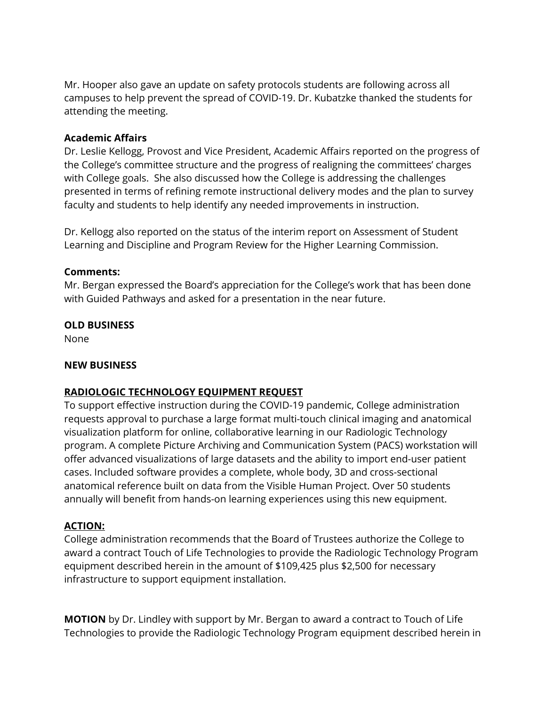Mr. Hooper also gave an update on safety protocols students are following across all campuses to help prevent the spread of COVID-19. Dr. Kubatzke thanked the students for attending the meeting.

### **Academic Affairs**

Dr. Leslie Kellogg, Provost and Vice President, Academic Affairs reported on the progress of the College's committee structure and the progress of realigning the committees' charges with College goals. She also discussed how the College is addressing the challenges presented in terms of refining remote instructional delivery modes and the plan to survey faculty and students to help identify any needed improvements in instruction.

Dr. Kellogg also reported on the status of the interim report on Assessment of Student Learning and Discipline and Program Review for the Higher Learning Commission.

## **Comments:**

Mr. Bergan expressed the Board's appreciation for the College's work that has been done with Guided Pathways and asked for a presentation in the near future.

## **OLD BUSINESS**

None

### **NEW BUSINESS**

# **RADIOLOGIC TECHNOLOGY EQUIPMENT REQUEST**

To support effective instruction during the COVID-19 pandemic, College administration requests approval to purchase a large format multi-touch clinical imaging and anatomical visualization platform for online, collaborative learning in our Radiologic Technology program. A complete Picture Archiving and Communication System (PACS) workstation will offer advanced visualizations of large datasets and the ability to import end-user patient cases. Included software provides a complete, whole body, 3D and cross-sectional anatomical reference built on data from the Visible Human Project. Over 50 students annually will benefit from hands-on learning experiences using this new equipment.

### **ACTION:**

College administration recommends that the Board of Trustees authorize the College to award a contract Touch of Life Technologies to provide the Radiologic Technology Program equipment described herein in the amount of \$109,425 plus \$2,500 for necessary infrastructure to support equipment installation.

**MOTION** by Dr. Lindley with support by Mr. Bergan to award a contract to Touch of Life Technologies to provide the Radiologic Technology Program equipment described herein in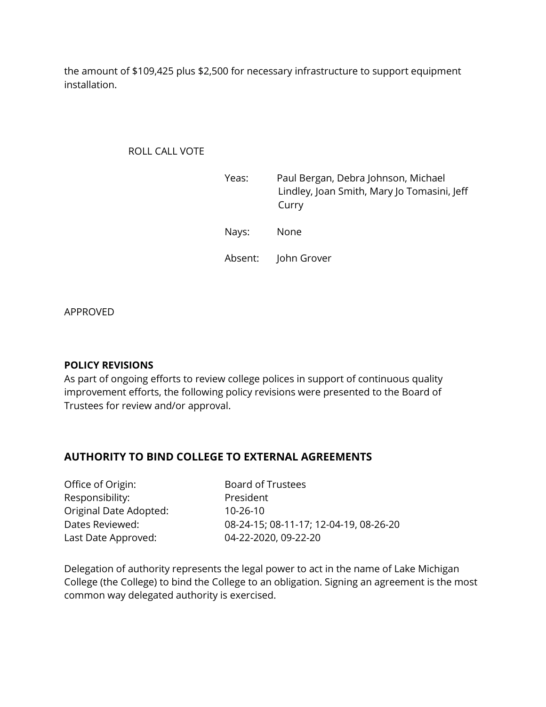the amount of \$109,425 plus \$2,500 for necessary infrastructure to support equipment installation.

#### ROLL CALL VOTE

| Yeas: | Paul Bergan, Debra Johnson, Michael<br>Lindley, Joan Smith, Mary Jo Tomasini, Jeff<br>Curry |
|-------|---------------------------------------------------------------------------------------------|
| Nays: | None                                                                                        |
|       | Absent: John Grover                                                                         |

APPROVED

#### **POLICY REVISIONS**

As part of ongoing efforts to review college polices in support of continuous quality improvement efforts, the following policy revisions were presented to the Board of Trustees for review and/or approval.

### **AUTHORITY TO BIND COLLEGE TO EXTERNAL AGREEMENTS**

Office of Origin: Board of Trustees Responsibility: President Original Date Adopted: Last Date Approved: 04-22-2020, 09-22-20

Dates Reviewed: 08-24-15; 08-11-17; 12-04-19, 08-26-20

Delegation of authority represents the legal power to act in the name of Lake Michigan College (the College) to bind the College to an obligation. Signing an agreement is the most common way delegated authority is exercised.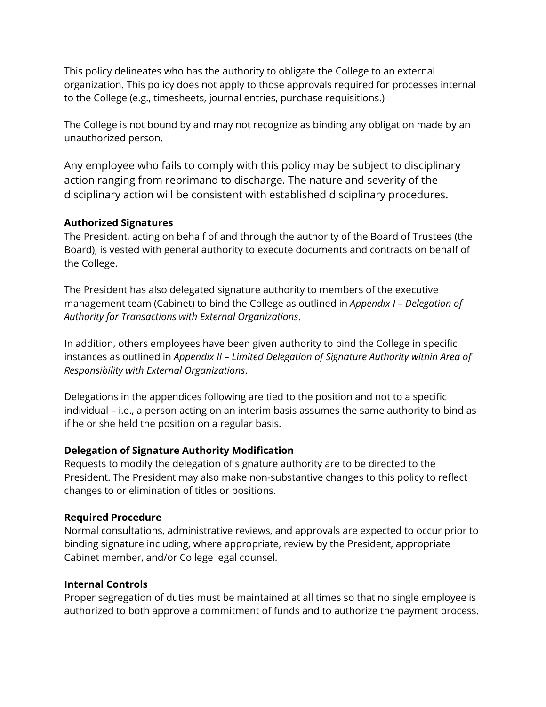This policy delineates who has the authority to obligate the College to an external organization. This policy does not apply to those approvals required for processes internal to the College (e.g., timesheets, journal entries, purchase requisitions.)

The College is not bound by and may not recognize as binding any obligation made by an unauthorized person.

Any employee who fails to comply with this policy may be subject to disciplinary action ranging from reprimand to discharge. The nature and severity of the disciplinary action will be consistent with established disciplinary procedures.

## **Authorized Signatures**

The President, acting on behalf of and through the authority of the Board of Trustees (the Board), is vested with general authority to execute documents and contracts on behalf of the College.

The President has also delegated signature authority to members of the executive management team (Cabinet) to bind the College as outlined in *Appendix I – Delegation of Authority for Transactions with External Organizations*.

In addition, others employees have been given authority to bind the College in specific instances as outlined in *Appendix II – Limited Delegation of Signature Authority within Area of Responsibility with External Organizations*.

Delegations in the appendices following are tied to the position and not to a specific individual – i.e., a person acting on an interim basis assumes the same authority to bind as if he or she held the position on a regular basis.

### **Delegation of Signature Authority Modification**

Requests to modify the delegation of signature authority are to be directed to the President. The President may also make non-substantive changes to this policy to reflect changes to or elimination of titles or positions.

### **Required Procedure**

Normal consultations, administrative reviews, and approvals are expected to occur prior to binding signature including, where appropriate, review by the President, appropriate Cabinet member, and/or College legal counsel.

# **Internal Controls**

Proper segregation of duties must be maintained at all times so that no single employee is authorized to both approve a commitment of funds and to authorize the payment process.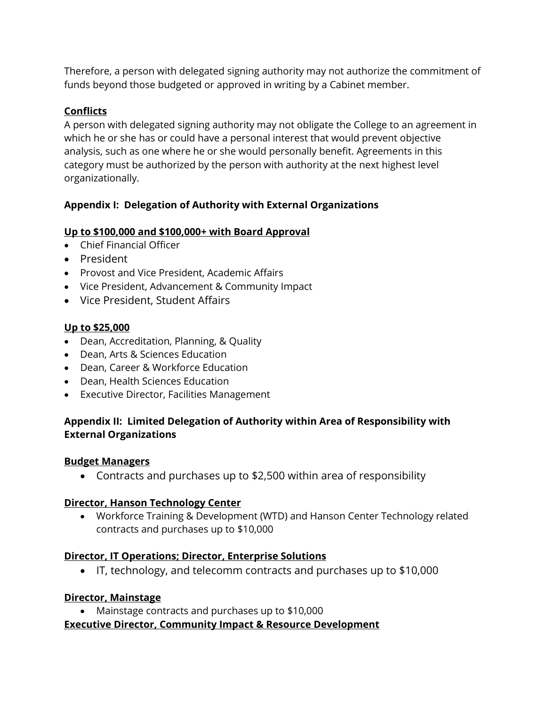Therefore, a person with delegated signing authority may not authorize the commitment of funds beyond those budgeted or approved in writing by a Cabinet member.

# **Conflicts**

A person with delegated signing authority may not obligate the College to an agreement in which he or she has or could have a personal interest that would prevent objective analysis, such as one where he or she would personally benefit. Agreements in this category must be authorized by the person with authority at the next highest level organizationally.

# **Appendix I: Delegation of Authority with External Organizations**

# **Up to \$100,000 and \$100,000+ with Board Approval**

- Chief Financial Officer
- President
- Provost and Vice President, Academic Affairs
- Vice President, Advancement & Community Impact
- Vice President, Student Affairs

# **Up to \$25,000**

- Dean, Accreditation, Planning, & Quality
- Dean, Arts & Sciences Education
- Dean, Career & Workforce Education
- Dean, Health Sciences Education
- Executive Director, Facilities Management

# **Appendix II: Limited Delegation of Authority within Area of Responsibility with External Organizations**

# **Budget Managers**

• Contracts and purchases up to \$2,500 within area of responsibility

# **Director, Hanson Technology Center**

• Workforce Training & Development (WTD) and Hanson Center Technology related contracts and purchases up to \$10,000

# **Director, IT Operations; Director, Enterprise Solutions**

• IT, technology, and telecomm contracts and purchases up to \$10,000

# **Director, Mainstage**

• Mainstage contracts and purchases up to \$10,000

# **Executive Director, Community Impact & Resource Development**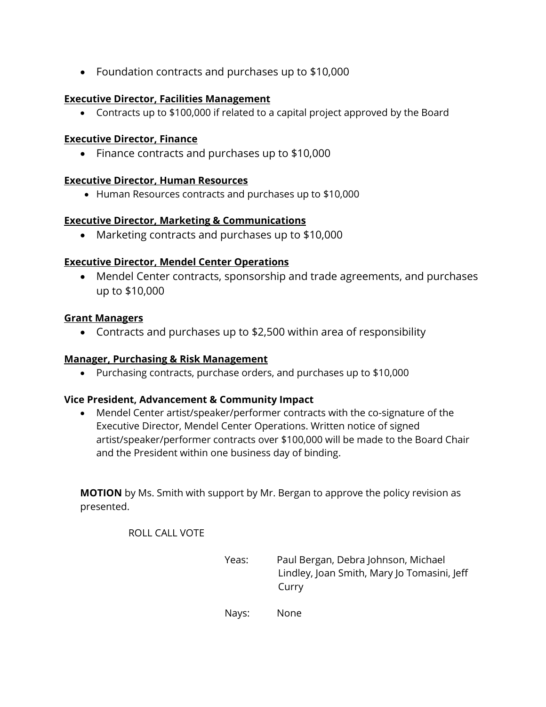• Foundation contracts and purchases up to \$10,000

### **Executive Director, Facilities Management**

• Contracts up to \$100,000 if related to a capital project approved by the Board

### **Executive Director, Finance**

• Finance contracts and purchases up to \$10,000

### **Executive Director, Human Resources**

• Human Resources contracts and purchases up to \$10,000

## **Executive Director, Marketing & Communications**

• Marketing contracts and purchases up to \$10,000

## **Executive Director, Mendel Center Operations**

• Mendel Center contracts, sponsorship and trade agreements, and purchases up to \$10,000

### **Grant Managers**

• Contracts and purchases up to \$2,500 within area of responsibility

### **Manager, Purchasing & Risk Management**

• Purchasing contracts, purchase orders, and purchases up to \$10,000

### **Vice President, Advancement & Community Impact**

• Mendel Center artist/speaker/performer contracts with the co-signature of the Executive Director, Mendel Center Operations. Written notice of signed artist/speaker/performer contracts over \$100,000 will be made to the Board Chair and the President within one business day of binding.

**MOTION** by Ms. Smith with support by Mr. Bergan to approve the policy revision as presented.

ROLL CALL VOTE

Yeas: Paul Bergan, Debra Johnson, Michael Lindley, Joan Smith, Mary Jo Tomasini, Jeff Curry

Nays: None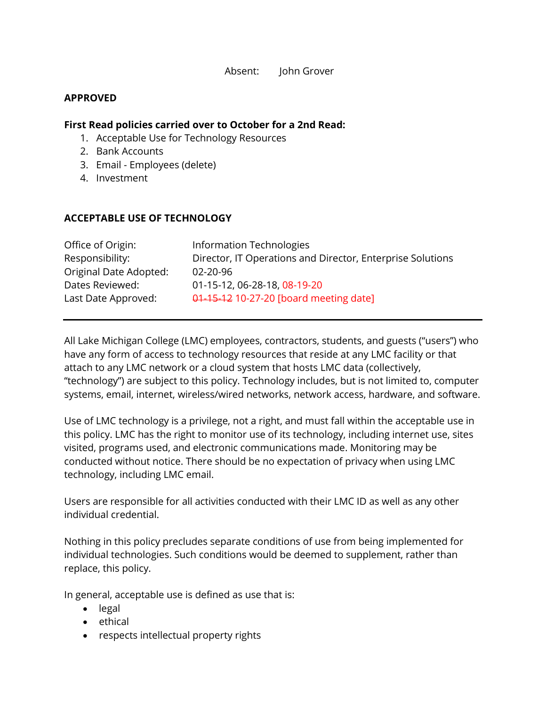Absent: John Grover

#### **APPROVED**

#### **First Read policies carried over to October for a 2nd Read:**

- 1. Acceptable Use for Technology Resources
- 2. Bank Accounts
- 3. Email Employees (delete)
- 4. Investment

### **ACCEPTABLE USE OF TECHNOLOGY**

| Information Technologies                                   |
|------------------------------------------------------------|
| Director, IT Operations and Director, Enterprise Solutions |
| $02 - 20 - 96$                                             |
| 01-15-12, 06-28-18, 08-19-20                               |
| 01-15-12 10-27-20 [board meeting date]                     |
|                                                            |

All Lake Michigan College (LMC) employees, contractors, students, and guests ("users") who have any form of access to technology resources that reside at any LMC facility or that attach to any LMC network or a cloud system that hosts LMC data (collectively, "technology") are subject to this policy. Technology includes, but is not limited to, computer systems, email, internet, wireless/wired networks, network access, hardware, and software.

Use of LMC technology is a privilege, not a right, and must fall within the acceptable use in this policy. LMC has the right to monitor use of its technology, including internet use, sites visited, programs used, and electronic communications made. Monitoring may be conducted without notice. There should be no expectation of privacy when using LMC technology, including LMC email.

Users are responsible for all activities conducted with their LMC ID as well as any other individual credential.

Nothing in this policy precludes separate conditions of use from being implemented for individual technologies. Such conditions would be deemed to supplement, rather than replace, this policy.

In general, acceptable use is defined as use that is:

- legal
- ethical
- respects intellectual property rights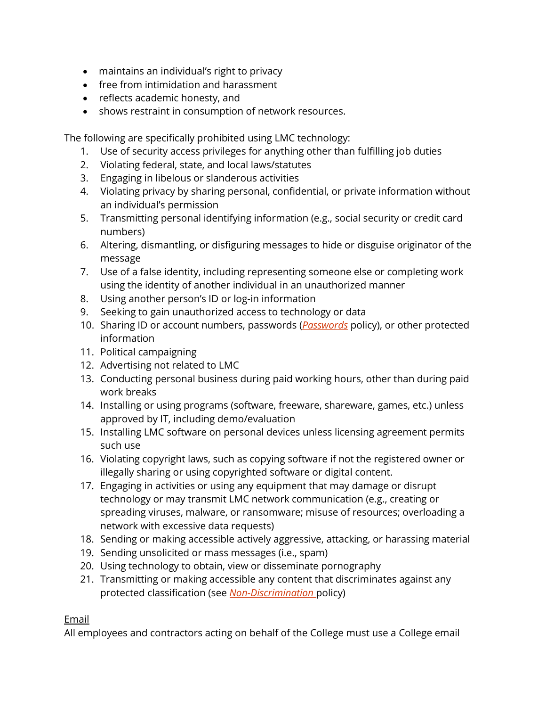- maintains an individual's right to privacy
- free from intimidation and harassment
- reflects academic honesty, and
- shows restraint in consumption of network resources.

The following are specifically prohibited using LMC technology:

- 1. Use of security access privileges for anything other than fulfilling job duties
- 2. Violating federal, state, and local laws/statutes
- 3. Engaging in libelous or slanderous activities
- 4. Violating privacy by sharing personal, confidential, or private information without an individual's permission
- 5. Transmitting personal identifying information (e.g., social security or credit card numbers)
- 6. Altering, dismantling, or disfiguring messages to hide or disguise originator of the message
- 7. Use of a false identity, including representing someone else or completing work using the identity of another individual in an unauthorized manner
- 8. Using another person's ID or log-in information
- 9. Seeking to gain unauthorized access to technology or data
- 10. Sharing ID or account numbers, passwords (*[Passwords](https://www.lakemichigancollege.edu/policies/password)* policy), or other protected information
- 11. Political campaigning
- 12. Advertising not related to LMC
- 13. Conducting personal business during paid working hours, other than during paid work breaks
- 14. Installing or using programs (software, freeware, shareware, games, etc.) unless approved by IT, including demo/evaluation
- 15. Installing LMC software on personal devices unless licensing agreement permits such use
- 16. Violating copyright laws, such as copying software if not the registered owner or illegally sharing or using copyrighted software or digital content.
- 17. Engaging in activities or using any equipment that may damage or disrupt technology or may transmit LMC network communication (e.g., creating or spreading viruses, malware, or ransomware; misuse of resources; overloading a network with excessive data requests)
- 18. Sending or making accessible actively aggressive, attacking, or harassing material
- 19. Sending unsolicited or mass messages (i.e., spam)
- 20. Using technology to obtain, view or disseminate pornography
- 21. Transmitting or making accessible any content that discriminates against any protected classification (see *[Non-Discrimination](https://www.lakemichigancollege.edu/policies/non-discrimination)* policy)

# Email

All employees and contractors acting on behalf of the College must use a College email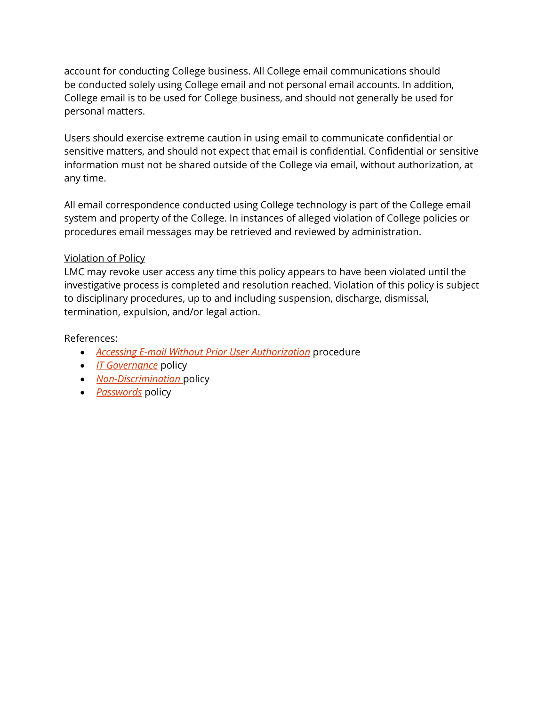account for conducting College business. All College email communications should be conducted solely using College email and not personal email accounts. In addition, College email is to be used for College business, and should not generally be used for personal matters.

Users should exercise extreme caution in using email to communicate confidential or sensitive matters, and should not expect that email is confidential. Confidential or sensitive information must not be shared outside of the College via email, without authorization, at any time.

All email correspondence conducted using College technology is part of the College email system and property of the College. In instances of alleged violation of College policies or procedures email messages may be retrieved and reviewed by administration.

## Violation of Policy

LMC may revoke user access any time this policy appears to have been violated until the investigative process is completed and resolution reached. Violation of this policy is subject to disciplinary procedures, up to and including suspension, discharge, dismissal, termination, expulsion, and/or legal action.

References:

- *[Accessing E-mail Without Prior User Authorization](https://lakemichigancollege.sharepoint.com/PresidentsOffice/Shared%20Documents/Forms/AllItems.aspx?id=%2FPresidentsOffice%2FShared%20Documents%2FCollege%20Procedures%2FAccessing%20Email%20Without%20Prior%20User%20Authorization%20v2020%2Epdf&parent=%2FPresidentsOffice%2FShared%20Documents%2FCollege%20Procedures)* procedure
- *[IT Governance](https://www.lakemichigancollege.edu/policies/it-governance)* policy
- *[Non-Discrimination](https://www.lakemichigancollege.edu/policies/non-discrimination)* policy
- *[Passwords](https://www.lakemichigancollege.edu/policies/password)* policy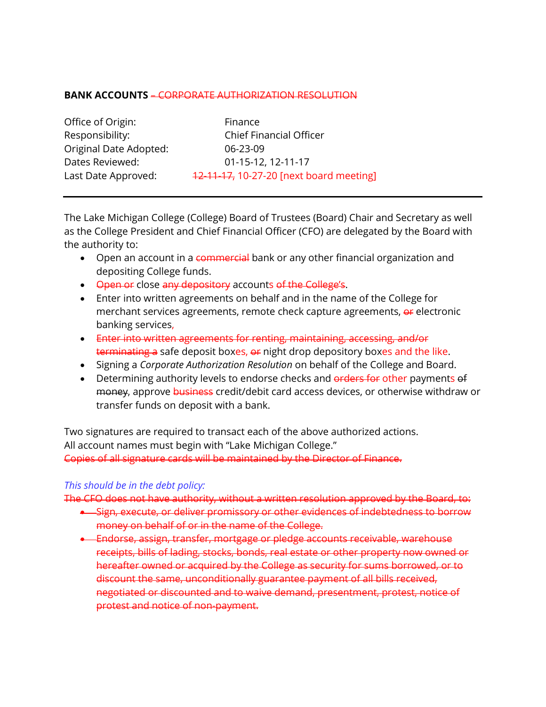#### **BANK ACCOUNTS** – CORPORATE AUTHORIZATION RESOLUTION

| Office of Origin:      |  |  |
|------------------------|--|--|
| Responsibility:        |  |  |
| Original Date Adopted: |  |  |
| Dates Reviewed:        |  |  |
| Last Date Approved:    |  |  |

Finance **Chief Financial Officer**  $06 - 23 - 09$ 01-15-12, 12-11-17 12-11-17, 10-27-20 [next board meeting]

The Lake Michigan College (College) Board of Trustees (Board) Chair and Secretary as well as the College President and Chief Financial Officer (CFO) are delegated by the Board with the authority to:

- Open an account in a commercial bank or any other financial organization and depositing College funds.
- Open or close any depository accounts of the College's.
- Enter into written agreements on behalf and in the name of the College for merchant services agreements, remote check capture agreements, or electronic banking services,
- Enter into written agreements for renting, maintaining, accessing, and/or terminating a safe deposit boxes, or night drop depository boxes and the like.
- Signing a *Corporate Authorization Resolution* on behalf of the College and Board.
- Determining authority levels to endorse checks and erders for other payments of money, approve business credit/debit card access devices, or otherwise withdraw or transfer funds on deposit with a bank.

Two signatures are required to transact each of the above authorized actions. All account names must begin with "Lake Michigan College." Copies of all signature cards will be maintained by the Director of Finance.

### *This should be in the debt policy:*

The CFO does not have authority, without a written resolution approved by the Board, to:

- Sign, execute, or deliver promissory or other evidences of indebtedness to borrow money on behalf of or in the name of the College.
- Endorse, assign, transfer, mortgage or pledge accounts receivable, warehouse receipts, bills of lading, stocks, bonds, real estate or other property now owned or hereafter owned or acquired by the College as security for sums borrowed, or to discount the same, unconditionally guarantee payment of all bills received, negotiated or discounted and to waive demand, presentment, protest, notice of protest and notice of non-payment.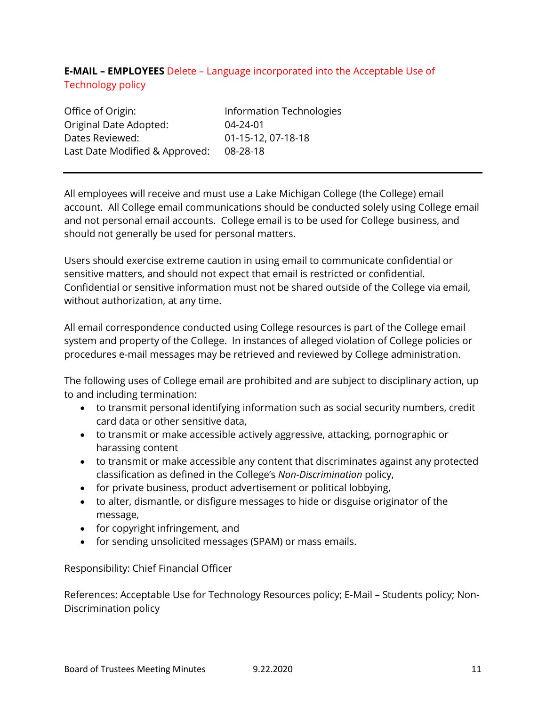# **E-MAIL – EMPLOYEES** Delete – Language incorporated into the Acceptable Use of Technology policy

| Office of Origin:              | Information Technologies |
|--------------------------------|--------------------------|
| Original Date Adopted:         | $04 - 24 - 01$           |
| Dates Reviewed:                | 01-15-12, 07-18-18       |
| Last Date Modified & Approved: | 08-28-18                 |

All employees will receive and must use a Lake Michigan College (the College) email account. All College email communications should be conducted solely using College email and not personal email accounts. College email is to be used for College business, and should not generally be used for personal matters.

Users should exercise extreme caution in using email to communicate confidential or sensitive matters, and should not expect that email is restricted or confidential. Confidential or sensitive information must not be shared outside of the College via email, without authorization, at any time.

All email correspondence conducted using College resources is part of the College email system and property of the College. In instances of alleged violation of College policies or procedures e-mail messages may be retrieved and reviewed by College administration.

The following uses of College email are prohibited and are subject to disciplinary action, up to and including termination:

- to transmit personal identifying information such as social security numbers, credit card data or other sensitive data,
- to transmit or make accessible actively aggressive, attacking, pornographic or harassing content
- to transmit or make accessible any content that discriminates against any protected classification as defined in the College's *Non-Discrimination* policy,
- for private business, product advertisement or political lobbying,
- to alter, dismantle, or disfigure messages to hide or disguise originator of the message,
- for copyright infringement, and
- for sending unsolicited messages (SPAM) or mass emails.

Responsibility: Chief Financial Officer

References: Acceptable Use for Technology Resources policy; E-Mail – Students policy; Non-Discrimination policy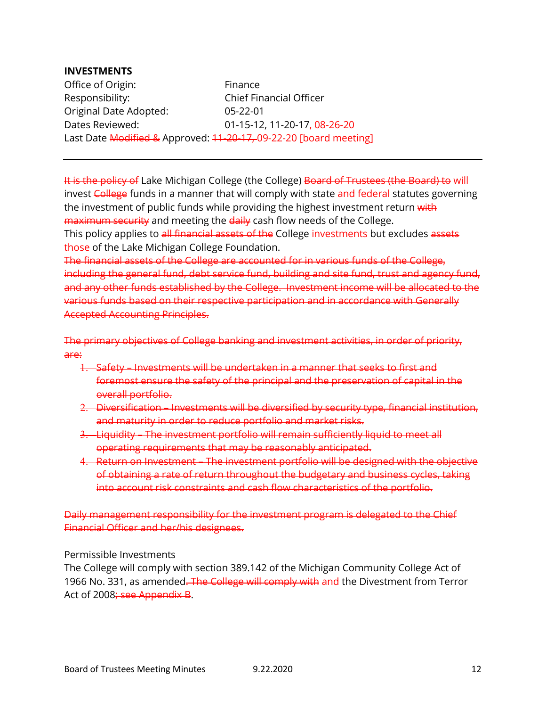#### **INVESTMENTS**

Office of Origin: Finance Responsibility: Chief Financial Officer Original Date Adopted: 05-22-01 Dates Reviewed: 01-15-12, 11-20-17, 08-26-20 Last Date Modified & Approved: 11-20-17, 09-22-20 [board meeting]

It is the policy of Lake Michigan College (the College) Board of Trustees (the Board) to will invest College funds in a manner that will comply with state and federal statutes governing the investment of public funds while providing the highest investment return with maximum security and meeting the daily cash flow needs of the College. This policy applies to all financial assets of the College investments but excludes assets those of the Lake Michigan College Foundation.

The financial assets of the College are accounted for in various funds of the College, including the general fund, debt service fund, building and site fund, trust and agency fund, and any other funds established by the College. Investment income will be allocated to the various funds based on their respective participation and in accordance with Generally Accepted Accounting Principles.

The primary objectives of College banking and investment activities, in order of priority, are:

- 1. Safety Investments will be undertaken in a manner that seeks to first and foremost ensure the safety of the principal and the preservation of capital in the overall portfolio.
- 2. Diversification Investments will be diversified by security type, financial institution, and maturity in order to reduce portfolio and market risks.
- 3. Liquidity The investment portfolio will remain sufficiently liquid to meet all operating requirements that may be reasonably anticipated.
- 4. Return on Investment The investment portfolio will be designed with the objective of obtaining a rate of return throughout the budgetary and business cycles, taking into account risk constraints and cash flow characteristics of the portfolio.

Daily management responsibility for the investment program is delegated to the Chief Financial Officer and her/his designees.

Permissible Investments

The College will comply with section 389.142 of the Michigan Community College Act of 1966 No. 331, as amended. The College will comply with and the Divestment from Terror Act of 2008; see Appendix B.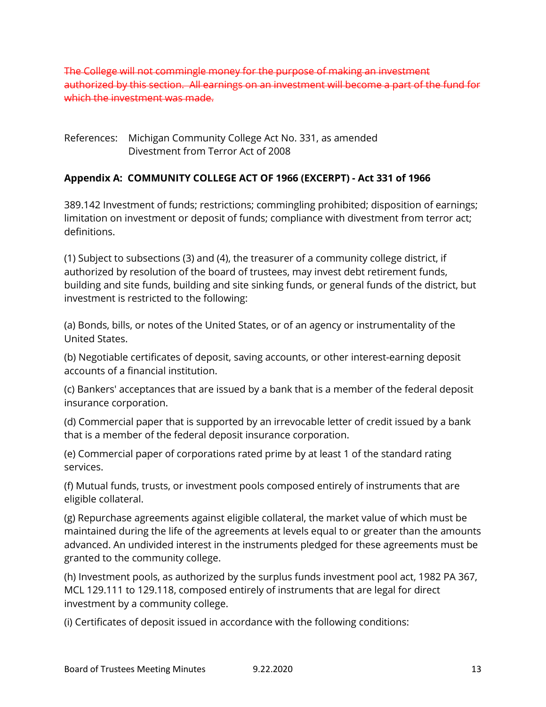The College will not commingle money for the purpose of making an investment authorized by this section. All earnings on an investment will become a part of the fund for which the investment was made.

## References: Michigan Community College Act No. 331, as amended Divestment from Terror Act of 2008

# **Appendix A: COMMUNITY COLLEGE ACT OF 1966 (EXCERPT) - Act 331 of 1966**

389.142 Investment of funds; restrictions; commingling prohibited; disposition of earnings; limitation on investment or deposit of funds; compliance with divestment from terror act; definitions.

(1) Subject to subsections (3) and (4), the treasurer of a community college district, if authorized by resolution of the board of trustees, may invest debt retirement funds, building and site funds, building and site sinking funds, or general funds of the district, but investment is restricted to the following:

(a) Bonds, bills, or notes of the United States, or of an agency or instrumentality of the United States.

(b) Negotiable certificates of deposit, saving accounts, or other interest-earning deposit accounts of a financial institution.

(c) Bankers' acceptances that are issued by a bank that is a member of the federal deposit insurance corporation.

(d) Commercial paper that is supported by an irrevocable letter of credit issued by a bank that is a member of the federal deposit insurance corporation.

(e) Commercial paper of corporations rated prime by at least 1 of the standard rating services.

(f) Mutual funds, trusts, or investment pools composed entirely of instruments that are eligible collateral.

(g) Repurchase agreements against eligible collateral, the market value of which must be maintained during the life of the agreements at levels equal to or greater than the amounts advanced. An undivided interest in the instruments pledged for these agreements must be granted to the community college.

(h) Investment pools, as authorized by the surplus funds investment pool act, 1982 PA 367, MCL 129.111 to 129.118, composed entirely of instruments that are legal for direct investment by a community college.

(i) Certificates of deposit issued in accordance with the following conditions: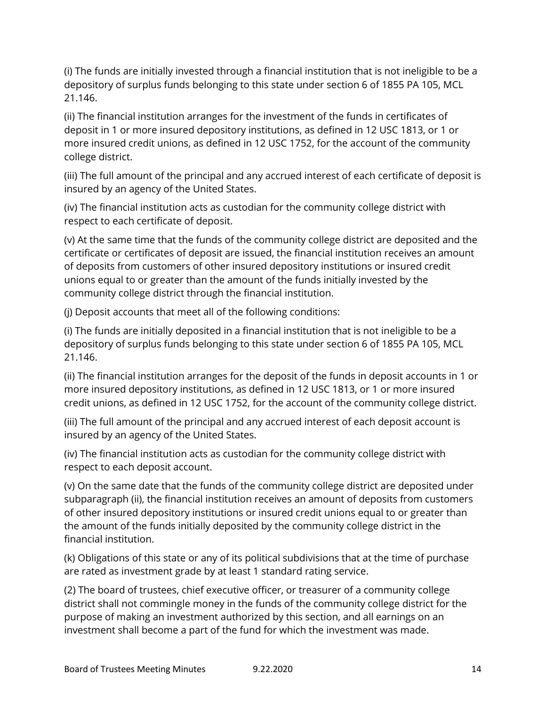(i) The funds are initially invested through a financial institution that is not ineligible to be a depository of surplus funds belonging to this state under section 6 of 1855 PA 105, MCL 21.146.

(ii) The financial institution arranges for the investment of the funds in certificates of deposit in 1 or more insured depository institutions, as defined in 12 USC 1813, or 1 or more insured credit unions, as defined in 12 USC 1752, for the account of the community college district.

(iii) The full amount of the principal and any accrued interest of each certificate of deposit is insured by an agency of the United States.

(iv) The financial institution acts as custodian for the community college district with respect to each certificate of deposit.

(v) At the same time that the funds of the community college district are deposited and the certificate or certificates of deposit are issued, the financial institution receives an amount of deposits from customers of other insured depository institutions or insured credit unions equal to or greater than the amount of the funds initially invested by the community college district through the financial institution.

(j) Deposit accounts that meet all of the following conditions:

(i) The funds are initially deposited in a financial institution that is not ineligible to be a depository of surplus funds belonging to this state under section 6 of 1855 PA 105, MCL 21.146.

(ii) The financial institution arranges for the deposit of the funds in deposit accounts in 1 or more insured depository institutions, as defined in 12 USC 1813, or 1 or more insured credit unions, as defined in 12 USC 1752, for the account of the community college district.

(iii) The full amount of the principal and any accrued interest of each deposit account is insured by an agency of the United States.

(iv) The financial institution acts as custodian for the community college district with respect to each deposit account.

(v) On the same date that the funds of the community college district are deposited under subparagraph (ii), the financial institution receives an amount of deposits from customers of other insured depository institutions or insured credit unions equal to or greater than the amount of the funds initially deposited by the community college district in the financial institution.

(k) Obligations of this state or any of its political subdivisions that at the time of purchase are rated as investment grade by at least 1 standard rating service.

(2) The board of trustees, chief executive officer, or treasurer of a community college district shall not commingle money in the funds of the community college district for the purpose of making an investment authorized by this section, and all earnings on an investment shall become a part of the fund for which the investment was made.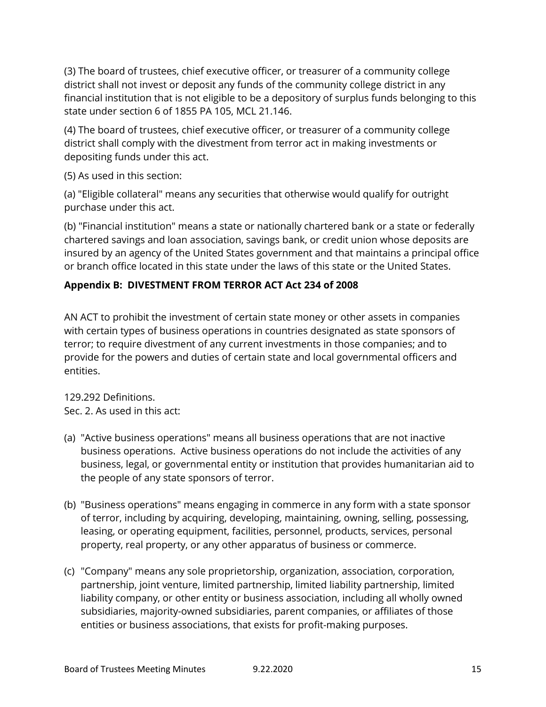(3) The board of trustees, chief executive officer, or treasurer of a community college district shall not invest or deposit any funds of the community college district in any financial institution that is not eligible to be a depository of surplus funds belonging to this state under section 6 of 1855 PA 105, MCL 21.146.

(4) The board of trustees, chief executive officer, or treasurer of a community college district shall comply with the divestment from terror act in making investments or depositing funds under this act.

(5) As used in this section:

(a) "Eligible collateral" means any securities that otherwise would qualify for outright purchase under this act.

(b) "Financial institution" means a state or nationally chartered bank or a state or federally chartered savings and loan association, savings bank, or credit union whose deposits are insured by an agency of the United States government and that maintains a principal office or branch office located in this state under the laws of this state or the United States.

# **Appendix B: DIVESTMENT FROM TERROR ACT Act 234 of 2008**

AN ACT to prohibit the investment of certain state money or other assets in companies with certain types of business operations in countries designated as state sponsors of terror; to require divestment of any current investments in those companies; and to provide for the powers and duties of certain state and local governmental officers and entities.

129.292 Definitions. Sec. 2. As used in this act:

- (a) "Active business operations" means all business operations that are not inactive business operations. Active business operations do not include the activities of any business, legal, or governmental entity or institution that provides humanitarian aid to the people of any state sponsors of terror.
- (b) "Business operations" means engaging in commerce in any form with a state sponsor of terror, including by acquiring, developing, maintaining, owning, selling, possessing, leasing, or operating equipment, facilities, personnel, products, services, personal property, real property, or any other apparatus of business or commerce.
- (c) "Company" means any sole proprietorship, organization, association, corporation, partnership, joint venture, limited partnership, limited liability partnership, limited liability company, or other entity or business association, including all wholly owned subsidiaries, majority-owned subsidiaries, parent companies, or affiliates of those entities or business associations, that exists for profit-making purposes.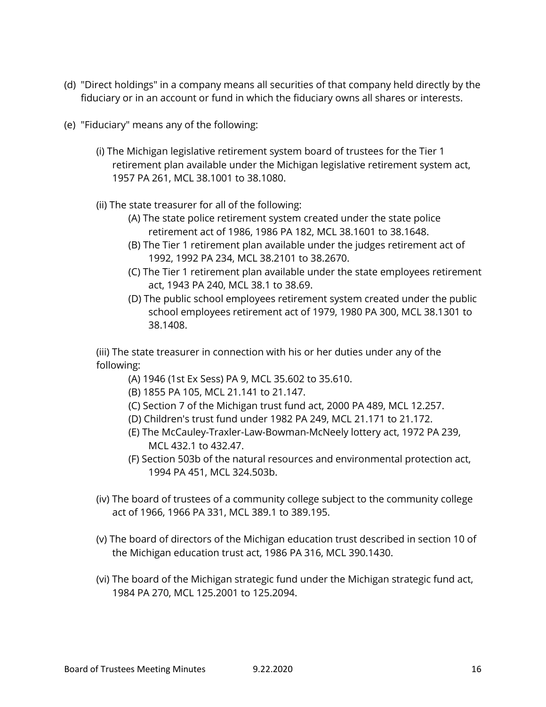- (d) "Direct holdings" in a company means all securities of that company held directly by the fiduciary or in an account or fund in which the fiduciary owns all shares or interests.
- (e) "Fiduciary" means any of the following:
	- (i) The Michigan legislative retirement system board of trustees for the Tier 1 retirement plan available under the Michigan legislative retirement system act, 1957 PA 261, MCL 38.1001 to 38.1080.
	- (ii) The state treasurer for all of the following:
		- (A) The state police retirement system created under the state police retirement act of 1986, 1986 PA 182, MCL 38.1601 to 38.1648.
		- (B) The Tier 1 retirement plan available under the judges retirement act of 1992, 1992 PA 234, MCL 38.2101 to 38.2670.
		- (C) The Tier 1 retirement plan available under the state employees retirement act, 1943 PA 240, MCL 38.1 to 38.69.
		- (D) The public school employees retirement system created under the public school employees retirement act of 1979, 1980 PA 300, MCL 38.1301 to 38.1408.

(iii) The state treasurer in connection with his or her duties under any of the following:

- (A) 1946 (1st Ex Sess) PA 9, MCL 35.602 to 35.610.
- (B) 1855 PA 105, MCL 21.141 to 21.147.
- (C) Section 7 of the Michigan trust fund act, 2000 PA 489, MCL 12.257.
- (D) Children's trust fund under 1982 PA 249, MCL 21.171 to 21.172.
- (E) The McCauley-Traxler-Law-Bowman-McNeely lottery act, 1972 PA 239, MCL 432.1 to 432.47.
- (F) Section 503b of the natural resources and environmental protection act, 1994 PA 451, MCL 324.503b.
- (iv) The board of trustees of a community college subject to the community college act of 1966, 1966 PA 331, MCL 389.1 to 389.195.
- (v) The board of directors of the Michigan education trust described in section 10 of the Michigan education trust act, 1986 PA 316, MCL 390.1430.
- (vi) The board of the Michigan strategic fund under the Michigan strategic fund act, 1984 PA 270, MCL 125.2001 to 125.2094.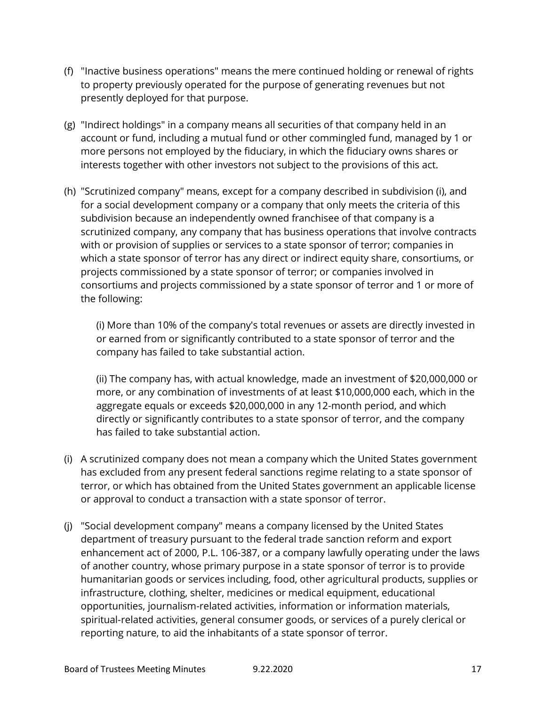- (f) "Inactive business operations" means the mere continued holding or renewal of rights to property previously operated for the purpose of generating revenues but not presently deployed for that purpose.
- (g) "Indirect holdings" in a company means all securities of that company held in an account or fund, including a mutual fund or other commingled fund, managed by 1 or more persons not employed by the fiduciary, in which the fiduciary owns shares or interests together with other investors not subject to the provisions of this act.
- (h) "Scrutinized company" means, except for a company described in subdivision (i), and for a social development company or a company that only meets the criteria of this subdivision because an independently owned franchisee of that company is a scrutinized company, any company that has business operations that involve contracts with or provision of supplies or services to a state sponsor of terror; companies in which a state sponsor of terror has any direct or indirect equity share, consortiums, or projects commissioned by a state sponsor of terror; or companies involved in consortiums and projects commissioned by a state sponsor of terror and 1 or more of the following:

(i) More than 10% of the company's total revenues or assets are directly invested in or earned from or significantly contributed to a state sponsor of terror and the company has failed to take substantial action.

(ii) The company has, with actual knowledge, made an investment of \$20,000,000 or more, or any combination of investments of at least \$10,000,000 each, which in the aggregate equals or exceeds \$20,000,000 in any 12-month period, and which directly or significantly contributes to a state sponsor of terror, and the company has failed to take substantial action.

- (i) A scrutinized company does not mean a company which the United States government has excluded from any present federal sanctions regime relating to a state sponsor of terror, or which has obtained from the United States government an applicable license or approval to conduct a transaction with a state sponsor of terror.
- (j) "Social development company" means a company licensed by the United States department of treasury pursuant to the federal trade sanction reform and export enhancement act of 2000, P.L. 106-387, or a company lawfully operating under the laws of another country, whose primary purpose in a state sponsor of terror is to provide humanitarian goods or services including, food, other agricultural products, supplies or infrastructure, clothing, shelter, medicines or medical equipment, educational opportunities, journalism-related activities, information or information materials, spiritual-related activities, general consumer goods, or services of a purely clerical or reporting nature, to aid the inhabitants of a state sponsor of terror.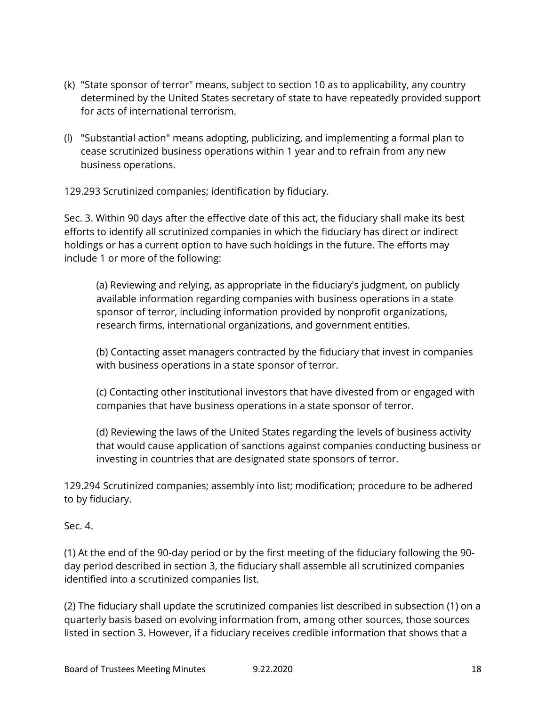- (k) "State sponsor of terror" means, subject to section 10 as to applicability, any country determined by the United States secretary of state to have repeatedly provided support for acts of international terrorism.
- (l) "Substantial action" means adopting, publicizing, and implementing a formal plan to cease scrutinized business operations within 1 year and to refrain from any new business operations.

129.293 Scrutinized companies; identification by fiduciary.

Sec. 3. Within 90 days after the effective date of this act, the fiduciary shall make its best efforts to identify all scrutinized companies in which the fiduciary has direct or indirect holdings or has a current option to have such holdings in the future. The efforts may include 1 or more of the following:

(a) Reviewing and relying, as appropriate in the fiduciary's judgment, on publicly available information regarding companies with business operations in a state sponsor of terror, including information provided by nonprofit organizations, research firms, international organizations, and government entities.

(b) Contacting asset managers contracted by the fiduciary that invest in companies with business operations in a state sponsor of terror.

(c) Contacting other institutional investors that have divested from or engaged with companies that have business operations in a state sponsor of terror.

(d) Reviewing the laws of the United States regarding the levels of business activity that would cause application of sanctions against companies conducting business or investing in countries that are designated state sponsors of terror.

129.294 Scrutinized companies; assembly into list; modification; procedure to be adhered to by fiduciary.

Sec. 4.

(1) At the end of the 90-day period or by the first meeting of the fiduciary following the 90 day period described in section 3, the fiduciary shall assemble all scrutinized companies identified into a scrutinized companies list.

(2) The fiduciary shall update the scrutinized companies list described in subsection (1) on a quarterly basis based on evolving information from, among other sources, those sources listed in section 3. However, if a fiduciary receives credible information that shows that a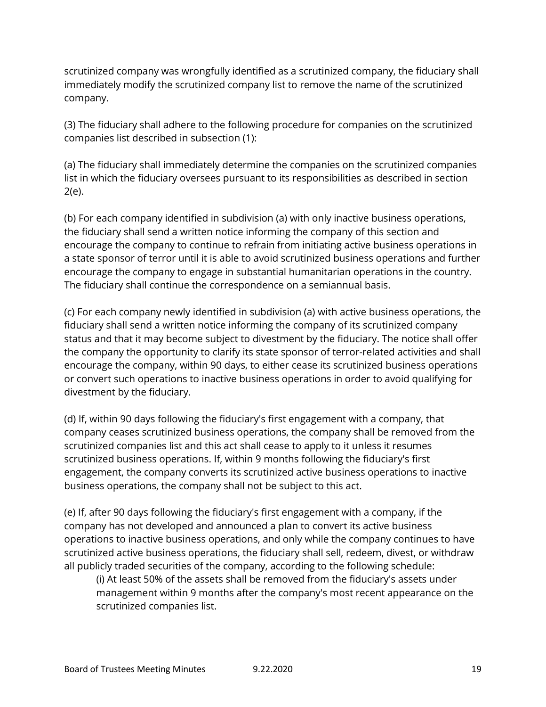scrutinized company was wrongfully identified as a scrutinized company, the fiduciary shall immediately modify the scrutinized company list to remove the name of the scrutinized company.

(3) The fiduciary shall adhere to the following procedure for companies on the scrutinized companies list described in subsection (1):

(a) The fiduciary shall immediately determine the companies on the scrutinized companies list in which the fiduciary oversees pursuant to its responsibilities as described in section 2(e).

(b) For each company identified in subdivision (a) with only inactive business operations, the fiduciary shall send a written notice informing the company of this section and encourage the company to continue to refrain from initiating active business operations in a state sponsor of terror until it is able to avoid scrutinized business operations and further encourage the company to engage in substantial humanitarian operations in the country. The fiduciary shall continue the correspondence on a semiannual basis.

(c) For each company newly identified in subdivision (a) with active business operations, the fiduciary shall send a written notice informing the company of its scrutinized company status and that it may become subject to divestment by the fiduciary. The notice shall offer the company the opportunity to clarify its state sponsor of terror-related activities and shall encourage the company, within 90 days, to either cease its scrutinized business operations or convert such operations to inactive business operations in order to avoid qualifying for divestment by the fiduciary.

(d) If, within 90 days following the fiduciary's first engagement with a company, that company ceases scrutinized business operations, the company shall be removed from the scrutinized companies list and this act shall cease to apply to it unless it resumes scrutinized business operations. If, within 9 months following the fiduciary's first engagement, the company converts its scrutinized active business operations to inactive business operations, the company shall not be subject to this act.

(e) If, after 90 days following the fiduciary's first engagement with a company, if the company has not developed and announced a plan to convert its active business operations to inactive business operations, and only while the company continues to have scrutinized active business operations, the fiduciary shall sell, redeem, divest, or withdraw all publicly traded securities of the company, according to the following schedule:

(i) At least 50% of the assets shall be removed from the fiduciary's assets under management within 9 months after the company's most recent appearance on the scrutinized companies list.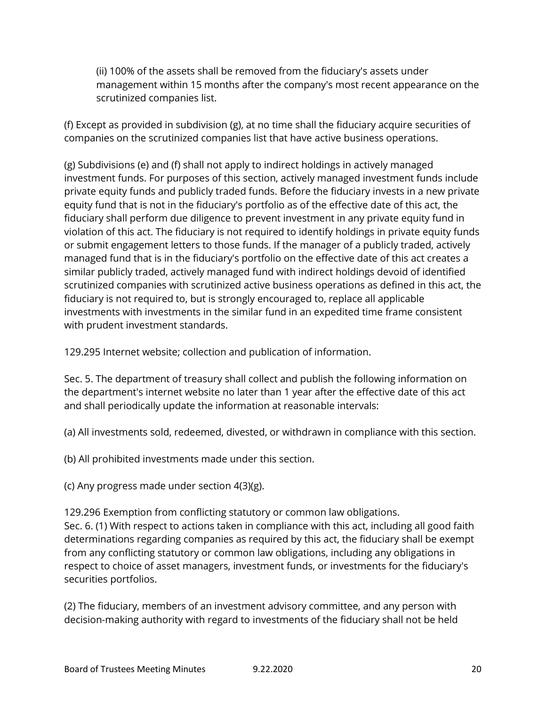(ii) 100% of the assets shall be removed from the fiduciary's assets under management within 15 months after the company's most recent appearance on the scrutinized companies list.

(f) Except as provided in subdivision (g), at no time shall the fiduciary acquire securities of companies on the scrutinized companies list that have active business operations.

(g) Subdivisions (e) and (f) shall not apply to indirect holdings in actively managed investment funds. For purposes of this section, actively managed investment funds include private equity funds and publicly traded funds. Before the fiduciary invests in a new private equity fund that is not in the fiduciary's portfolio as of the effective date of this act, the fiduciary shall perform due diligence to prevent investment in any private equity fund in violation of this act. The fiduciary is not required to identify holdings in private equity funds or submit engagement letters to those funds. If the manager of a publicly traded, actively managed fund that is in the fiduciary's portfolio on the effective date of this act creates a similar publicly traded, actively managed fund with indirect holdings devoid of identified scrutinized companies with scrutinized active business operations as defined in this act, the fiduciary is not required to, but is strongly encouraged to, replace all applicable investments with investments in the similar fund in an expedited time frame consistent with prudent investment standards.

129.295 Internet website; collection and publication of information.

Sec. 5. The department of treasury shall collect and publish the following information on the department's internet website no later than 1 year after the effective date of this act and shall periodically update the information at reasonable intervals:

(a) All investments sold, redeemed, divested, or withdrawn in compliance with this section.

(b) All prohibited investments made under this section.

(c) Any progress made under section 4(3)(g).

129.296 Exemption from conflicting statutory or common law obligations. Sec. 6. (1) With respect to actions taken in compliance with this act, including all good faith determinations regarding companies as required by this act, the fiduciary shall be exempt from any conflicting statutory or common law obligations, including any obligations in respect to choice of asset managers, investment funds, or investments for the fiduciary's securities portfolios.

(2) The fiduciary, members of an investment advisory committee, and any person with decision-making authority with regard to investments of the fiduciary shall not be held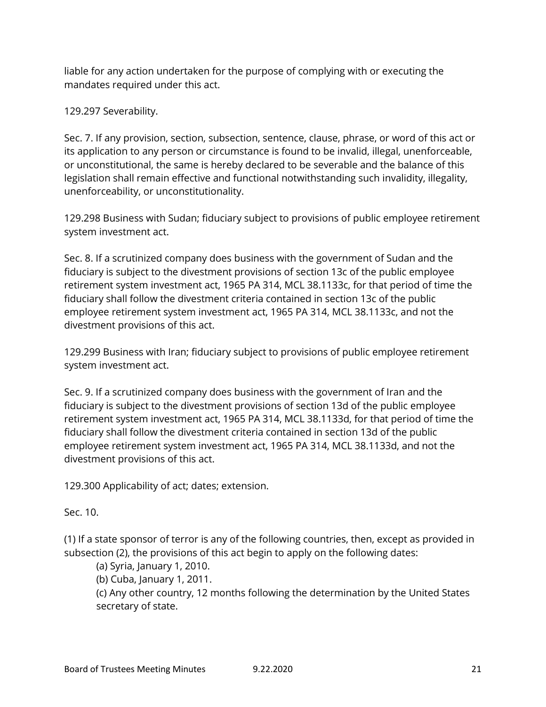liable for any action undertaken for the purpose of complying with or executing the mandates required under this act.

129.297 Severability.

Sec. 7. If any provision, section, subsection, sentence, clause, phrase, or word of this act or its application to any person or circumstance is found to be invalid, illegal, unenforceable, or unconstitutional, the same is hereby declared to be severable and the balance of this legislation shall remain effective and functional notwithstanding such invalidity, illegality, unenforceability, or unconstitutionality.

129.298 Business with Sudan; fiduciary subject to provisions of public employee retirement system investment act.

Sec. 8. If a scrutinized company does business with the government of Sudan and the fiduciary is subject to the divestment provisions of section 13c of the public employee retirement system investment act, 1965 PA 314, MCL 38.1133c, for that period of time the fiduciary shall follow the divestment criteria contained in section 13c of the public employee retirement system investment act, 1965 PA 314, MCL 38.1133c, and not the divestment provisions of this act.

129.299 Business with Iran; fiduciary subject to provisions of public employee retirement system investment act.

Sec. 9. If a scrutinized company does business with the government of Iran and the fiduciary is subject to the divestment provisions of section 13d of the public employee retirement system investment act, 1965 PA 314, MCL 38.1133d, for that period of time the fiduciary shall follow the divestment criteria contained in section 13d of the public employee retirement system investment act, 1965 PA 314, MCL 38.1133d, and not the divestment provisions of this act.

129.300 Applicability of act; dates; extension.

Sec. 10.

(1) If a state sponsor of terror is any of the following countries, then, except as provided in subsection (2), the provisions of this act begin to apply on the following dates:

(a) Syria, January 1, 2010.

(b) Cuba, January 1, 2011.

(c) Any other country, 12 months following the determination by the United States secretary of state.